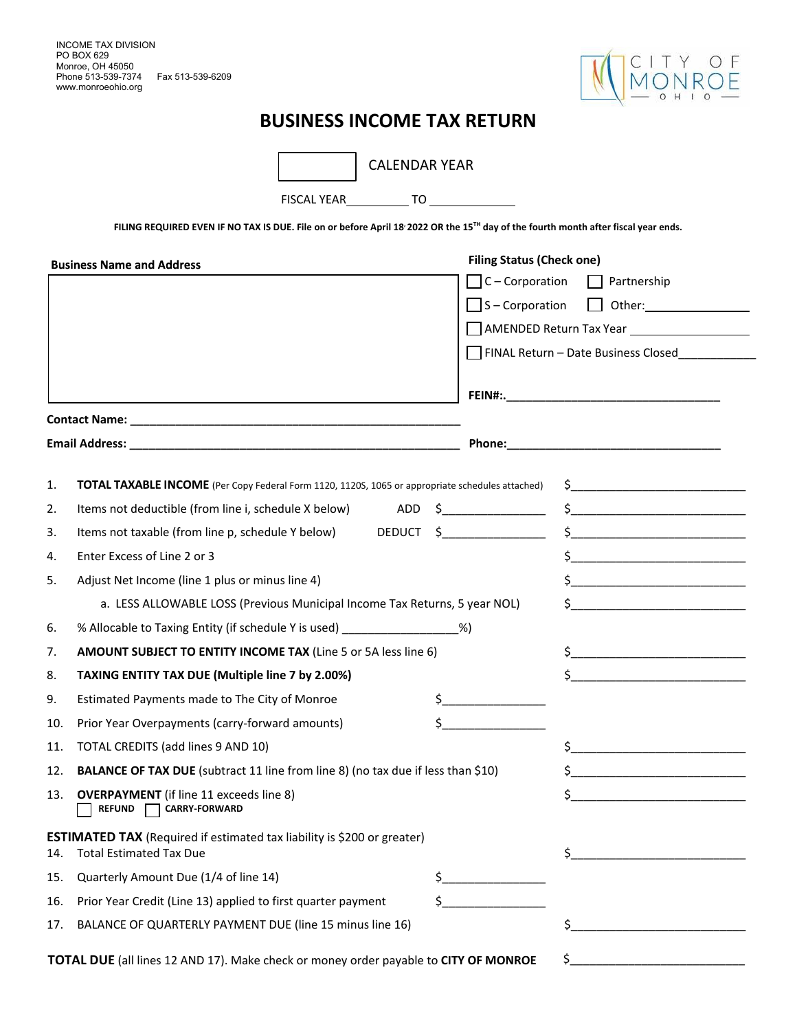

## **BUSINESS INCOME TAX RETURN**

|     | <b>CALENDAR YEAR</b>                                                                                                                           |                                                                                                                                                                                                                                                                                                                                                                     |
|-----|------------------------------------------------------------------------------------------------------------------------------------------------|---------------------------------------------------------------------------------------------------------------------------------------------------------------------------------------------------------------------------------------------------------------------------------------------------------------------------------------------------------------------|
|     |                                                                                                                                                |                                                                                                                                                                                                                                                                                                                                                                     |
|     | FILING REQUIRED EVEN IF NO TAX IS DUE. File on or before April 18 2022 OR the 15 <sup>TH</sup> day of the fourth month after fiscal year ends. |                                                                                                                                                                                                                                                                                                                                                                     |
|     |                                                                                                                                                | <b>Filing Status (Check one)</b>                                                                                                                                                                                                                                                                                                                                    |
|     | <b>Business Name and Address</b>                                                                                                               | $\Box$ C – Corporation $\Box$ Partnership                                                                                                                                                                                                                                                                                                                           |
|     |                                                                                                                                                |                                                                                                                                                                                                                                                                                                                                                                     |
|     |                                                                                                                                                | AMENDED Return Tax Year <b>Network</b>                                                                                                                                                                                                                                                                                                                              |
|     |                                                                                                                                                | FINAL Return - Date Business Closed                                                                                                                                                                                                                                                                                                                                 |
|     |                                                                                                                                                |                                                                                                                                                                                                                                                                                                                                                                     |
|     |                                                                                                                                                |                                                                                                                                                                                                                                                                                                                                                                     |
|     |                                                                                                                                                |                                                                                                                                                                                                                                                                                                                                                                     |
|     |                                                                                                                                                |                                                                                                                                                                                                                                                                                                                                                                     |
| 1.  | TOTAL TAXABLE INCOME (Per Copy Federal Form 1120, 1120S, 1065 or appropriate schedules attached)                                               |                                                                                                                                                                                                                                                                                                                                                                     |
| 2.  |                                                                                                                                                |                                                                                                                                                                                                                                                                                                                                                                     |
| 3.  | Items not taxable (from line p, schedule Y below) DEDUCT \$                                                                                    | $\begin{picture}(20,10) \put(0,0){\vector(1,0){100}} \put(15,0){\vector(1,0){100}} \put(15,0){\vector(1,0){100}} \put(15,0){\vector(1,0){100}} \put(15,0){\vector(1,0){100}} \put(15,0){\vector(1,0){100}} \put(15,0){\vector(1,0){100}} \put(15,0){\vector(1,0){100}} \put(15,0){\vector(1,0){100}} \put(15,0){\vector(1,0){100}} \put(15,0){\vector(1,0){100}} \$ |
| 4.  | Enter Excess of Line 2 or 3                                                                                                                    | $\frac{1}{2}$ $\frac{1}{2}$ $\frac{1}{2}$ $\frac{1}{2}$ $\frac{1}{2}$ $\frac{1}{2}$ $\frac{1}{2}$ $\frac{1}{2}$ $\frac{1}{2}$ $\frac{1}{2}$ $\frac{1}{2}$ $\frac{1}{2}$ $\frac{1}{2}$ $\frac{1}{2}$ $\frac{1}{2}$ $\frac{1}{2}$ $\frac{1}{2}$ $\frac{1}{2}$ $\frac{1}{2}$ $\frac{1}{2}$ $\frac{1}{2}$ $\frac{1}{2}$                                                 |
| 5.  | Adjust Net Income (line 1 plus or minus line 4)                                                                                                | $\frac{1}{2}$                                                                                                                                                                                                                                                                                                                                                       |
|     | a. LESS ALLOWABLE LOSS (Previous Municipal Income Tax Returns, 5 year NOL)                                                                     | $\frac{1}{2}$                                                                                                                                                                                                                                                                                                                                                       |
| 6.  | % Allocable to Taxing Entity (if schedule Y is used) ___________________________                                                               | %)                                                                                                                                                                                                                                                                                                                                                                  |
| 7.  | <b>AMOUNT SUBJECT TO ENTITY INCOME TAX (Line 5 or 5A less line 6)</b>                                                                          | $\mathsf{\$}$                                                                                                                                                                                                                                                                                                                                                       |
| 8.  | TAXING ENTITY TAX DUE (Multiple line 7 by 2.00%)                                                                                               | $\mathsf{\$}$                                                                                                                                                                                                                                                                                                                                                       |
| 9.  | Estimated Payments made to The City of Monroe                                                                                                  | $\mathsf{\$}$                                                                                                                                                                                                                                                                                                                                                       |
| 10. | Prior Year Overpayments (carry-forward amounts)                                                                                                |                                                                                                                                                                                                                                                                                                                                                                     |
| 11. | TOTAL CREDITS (add lines 9 AND 10)                                                                                                             |                                                                                                                                                                                                                                                                                                                                                                     |
| 12. | BALANCE OF TAX DUE (subtract 11 line from line 8) (no tax due if less than \$10)                                                               |                                                                                                                                                                                                                                                                                                                                                                     |
| 13. | <b>OVERPAYMENT</b> (if line 11 exceeds line 8)<br><b>REFUND</b><br><b>CARRY-FORWARD</b>                                                        |                                                                                                                                                                                                                                                                                                                                                                     |
| 14. | <b>ESTIMATED TAX</b> (Required if estimated tax liability is \$200 or greater)<br><b>Total Estimated Tax Due</b>                               |                                                                                                                                                                                                                                                                                                                                                                     |
| 15. | \$<br>Quarterly Amount Due (1/4 of line 14)                                                                                                    |                                                                                                                                                                                                                                                                                                                                                                     |
| 16. | Prior Year Credit (Line 13) applied to first quarter payment                                                                                   |                                                                                                                                                                                                                                                                                                                                                                     |
| 17. | BALANCE OF QUARTERLY PAYMENT DUE (line 15 minus line 16)                                                                                       |                                                                                                                                                                                                                                                                                                                                                                     |
|     | TOTAL DUE (all lines 12 AND 17). Make check or money order payable to CITY OF MONROE                                                           |                                                                                                                                                                                                                                                                                                                                                                     |